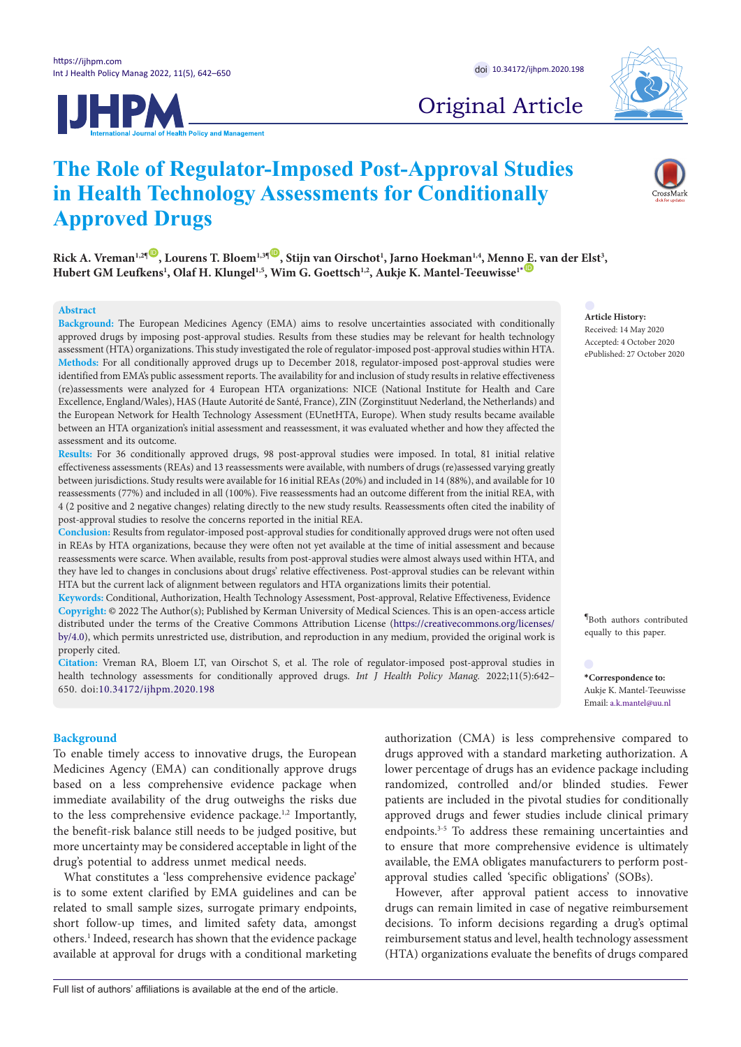



# Original Article

# **The Role of Regulator-Imposed Post-Approval Studies in Health Technology Assessments for Conditionally Approved Drugs**

 $Rick A$ . Vreman<sup>1,2¶</sup>  $\bullet$ , Lourens T. Bloem<sup>1,3¶</sup>  $\bullet$ , Stijn van Oirschot<sup>1</sup>, Jarno Hoekman<sup>1,4</sup>, Menn[o E.](https://orcid.org/0000-0002-8782-0698) van der Elst<sup>3</sup>,  ${\bf H}$ ubert GM Leufkens<sup>1</sup>, Olaf H. Klungel<sup>1,5</sup>, Wim G. Goettsch<sup>1,2</sup>, Aukje K. Mantel-Teeuwisse<sup>1[\\*](#page-0-0)@</sup>

## **Abstract**

**Background:** The European Medicines Agency (EMA) aims to resolve uncertainties associated with conditionally approved drugs by imposing post-approval studies. Results from these studies may be relevant for health technology assessment (HTA) organizations. This study investigated the role of regulator-imposed post-approval studies within HTA. **Methods:** For all conditionally approved drugs up to December 2018, regulator-imposed post-approval studies were identified from EMA's public assessment reports. The availability for and inclusion of study results in relative effectiveness (re)assessments were analyzed for 4 European HTA organizations: NICE (National Institute for Health and Care Excellence, England/Wales), HAS (Haute Autorité de Santé, France), ZIN (Zorginstituut Nederland, the Netherlands) and the European Network for Health Technology Assessment (EUnetHTA, Europe). When study results became available between an HTA organization's initial assessment and reassessment, it was evaluated whether and how they affected the assessment and its outcome.

**Results:** For 36 conditionally approved drugs, 98 post-approval studies were imposed. In total, 81 initial relative effectiveness assessments (REAs) and 13 reassessments were available, with numbers of drugs (re)assessed varying greatly between jurisdictions. Study results were available for 16 initial REAs (20%) and included in 14 (88%), and available for 10 reassessments (77%) and included in all (100%). Five reassessments had an outcome different from the initial REA, with 4 (2 positive and 2 negative changes) relating directly to the new study results. Reassessments often cited the inability of post-approval studies to resolve the concerns reported in the initial REA.

**Conclusion:** Results from regulator-imposed post-approval studies for conditionally approved drugs were not often used in REAs by HTA organizations, because they were often not yet available at the time of initial assessment and because reassessments were scarce. When available, results from post-approval studies were almost always used within HTA, and they have led to changes in conclusions about drugs' relative effectiveness. Post-approval studies can be relevant within HTA but the current lack of alignment between regulators and HTA organizations limits their potential.

**Keywords:** Conditional, Authorization, Health Technology Assessment, Post-approval, Relative Effectiveness, Evidence **Copyright:** © 2022 The Author(s); Published by Kerman University of Medical Sciences. This is an open-access article distributed under the terms of the Creative Commons Attribution License [\(https://creativecommons.org/licenses/](https://creativecommons.org/licenses/by/4.0) [by/4.0\)](https://creativecommons.org/licenses/by/4.0), which permits unrestricted use, distribution, and reproduction in any medium, provided the original work is properly cited.

**Citation:** Vreman RA, Bloem LT, van Oirschot S, et al. The role of regulator-imposed post-approval studies in health technology assessments for conditionally approved drugs. *Int J Health Policy Manag.* 2022;11(5):642-650. doi:[10.34172/ijhpm.2020.198](https://doi.org/10.34172/ijhpm.2020.198)

## **Background**

To enable timely access to innovative drugs, the European Medicines Agency (EMA) can conditionally approve drugs based on a less comprehensive evidence package when immediate availability of the drug outweighs the risks due to the less comprehensive evidence package.<sup>1,2</sup> Importantly, the benefit-risk balance still needs to be judged positive, but more uncertainty may be considered acceptable in light of the drug's potential to address unmet medical needs.

What constitutes a 'less comprehensive evidence package' is to some extent clarified by EMA guidelines and can be related to small sample sizes, surrogate primary endpoints, short follow-up times, and limited safety data, amongst others.<sup>1</sup> Indeed, research has shown that the evidence package available at approval for drugs with a conditional marketing authorization (CMA) is less comprehensive compared to drugs approved with a standard marketing authorization. A lower percentage of drugs has an evidence package including randomized, controlled and/or blinded studies. Fewer patients are included in the pivotal studies for conditionally approved drugs and fewer studies include clinical primary endpoints.3-5 To address these remaining uncertainties and to ensure that more comprehensive evidence is ultimately available, the EMA obligates manufacturers to perform postapproval studies called 'specific obligations' (SOBs).

However, after approval patient access to innovative drugs can remain limited in case of negative reimbursement decisions. To inform decisions regarding a drug's optimal reimbursement status and level, health technology assessment (HTA) organizations evaluate the benefits of drugs compared

**Article History:** Received: 14 May 2020 Accepted: 4 October 2020 ePublished: 27 October 2020

**¶** Both authors contributed equally to this paper.

<span id="page-0-0"></span>**\*Correspondence to:** Aukje K. Mantel-Teeuwisse Email: a.k.mantel@uu.nl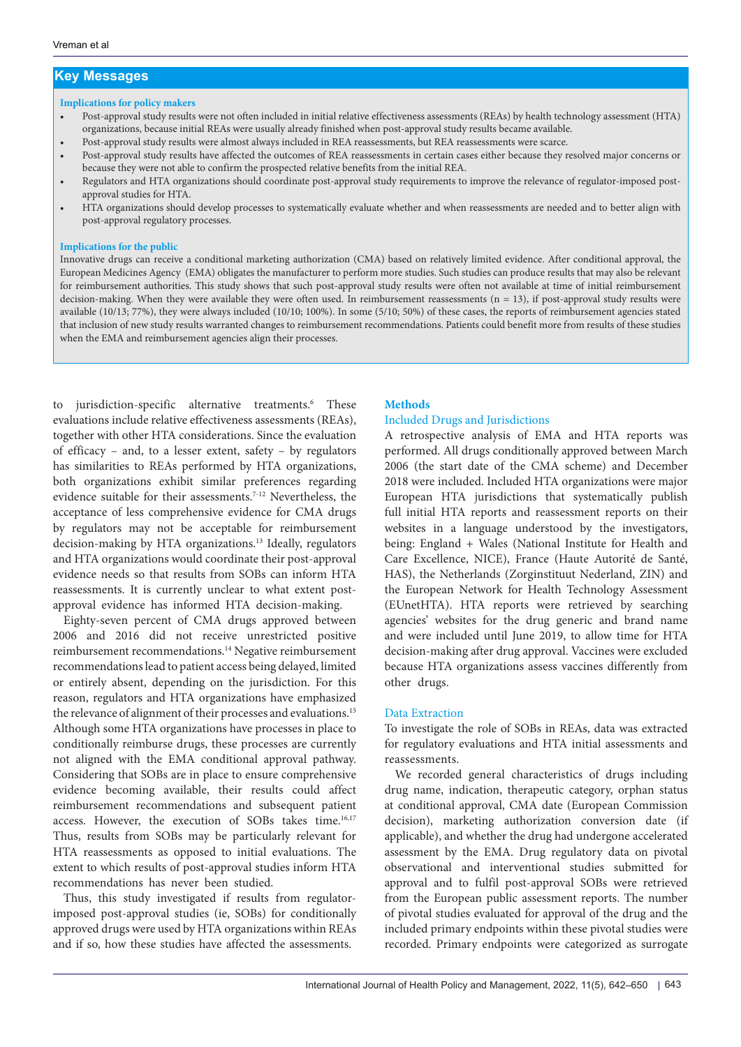# **Key Messages**

## **Implications for policy makers**

- Post-approval study results were not often included in initial relative effectiveness assessments (REAs) by health technology assessment (HTA) organizations, because initial REAs were usually already finished when post-approval study results became available.
- Post-approval study results were almost always included in REA reassessments, but REA reassessments were scarce.
- Post-approval study results have affected the outcomes of REA reassessments in certain cases either because they resolved major concerns or because they were not able to confirm the prospected relative benefits from the initial REA.
- Regulators and HTA organizations should coordinate post-approval study requirements to improve the relevance of regulator-imposed postapproval studies for HTA.
- HTA organizations should develop processes to systematically evaluate whether and when reassessments are needed and to better align with post-approval regulatory processes.

## **Implications for the public**

Innovative drugs can receive a conditional marketing authorization (CMA) based on relatively limited evidence. After conditional approval, the European Medicines Agency (EMA) obligates the manufacturer to perform more studies. Such studies can produce results that may also be relevant for reimbursement authorities. This study shows that such post-approval study results were often not available at time of initial reimbursement decision-making. When they were available they were often used. In reimbursement reassessments ( $n = 13$ ), if post-approval study results were available (10/13; 77%), they were always included (10/10; 100%). In some (5/10; 50%) of these cases, the reports of reimbursement agencies stated that inclusion of new study results warranted changes to reimbursement recommendations. Patients could benefit more from results of these studies when the EMA and reimbursement agencies align their processes.

to jurisdiction-specific alternative treatments.<sup>6</sup> These evaluations include relative effectiveness assessments (REAs), together with other HTA considerations. Since the evaluation of efficacy – and, to a lesser extent, safety – by regulators has similarities to REAs performed by HTA organizations, both organizations exhibit similar preferences regarding evidence suitable for their assessments.<sup>7-12</sup> Nevertheless, the acceptance of less comprehensive evidence for CMA drugs by regulators may not be acceptable for reimbursement decision-making by HTA organizations.13 Ideally, regulators and HTA organizations would coordinate their post-approval evidence needs so that results from SOBs can inform HTA reassessments. It is currently unclear to what extent postapproval evidence has informed HTA decision-making.

Eighty-seven percent of CMA drugs approved between 2006 and 2016 did not receive unrestricted positive reimbursement recommendations.14 Negative reimbursement recommendations lead to patient access being delayed, limited or entirely absent, depending on the jurisdiction. For this reason, regulators and HTA organizations have emphasized the relevance of alignment of their processes and evaluations.<sup>15</sup> Although some HTA organizations have processes in place to conditionally reimburse drugs, these processes are currently not aligned with the EMA conditional approval pathway. Considering that SOBs are in place to ensure comprehensive evidence becoming available, their results could affect reimbursement recommendations and subsequent patient access. However, the execution of SOBs takes time.<sup>16,17</sup> Thus, results from SOBs may be particularly relevant for HTA reassessments as opposed to initial evaluations. The extent to which results of post-approval studies inform HTA recommendations has never been studied.

Thus, this study investigated if results from regulatorimposed post-approval studies (ie, SOBs) for conditionally approved drugs were used by HTA organizations within REAs and if so, how these studies have affected the assessments.

## **Methods**

## Included Drugs and Jurisdictions

A retrospective analysis of EMA and HTA reports was performed. All drugs conditionally approved between March 2006 (the start date of the CMA scheme) and December 2018 were included. Included HTA organizations were major European HTA jurisdictions that systematically publish full initial HTA reports and reassessment reports on their websites in a language understood by the investigators, being: England + Wales (National Institute for Health and Care Excellence, NICE), France (Haute Autorité de Santé, HAS), the Netherlands (Zorginstituut Nederland, ZIN) and the European Network for Health Technology Assessment (EUnetHTA). HTA reports were retrieved by searching agencies' websites for the drug generic and brand name and were included until June 2019, to allow time for HTA decision-making after drug approval. Vaccines were excluded because HTA organizations assess vaccines differently from other drugs.

# Data Extraction

To investigate the role of SOBs in REAs, data was extracted for regulatory evaluations and HTA initial assessments and reassessments.

We recorded general characteristics of drugs including drug name, indication, therapeutic category, orphan status at conditional approval, CMA date (European Commission decision), marketing authorization conversion date (if applicable), and whether the drug had undergone accelerated assessment by the EMA. Drug regulatory data on pivotal observational and interventional studies submitted for approval and to fulfil post-approval SOBs were retrieved from the European public assessment reports. The number of pivotal studies evaluated for approval of the drug and the included primary endpoints within these pivotal studies were recorded. Primary endpoints were categorized as surrogate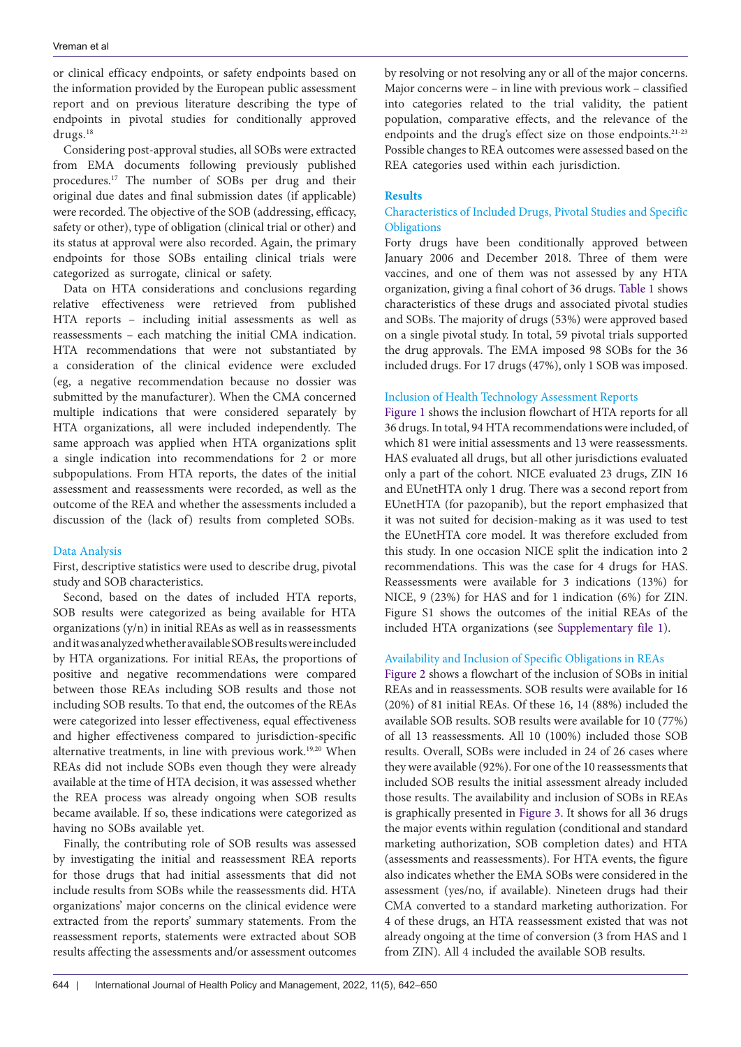or clinical efficacy endpoints, or safety endpoints based on the information provided by the European public assessment report and on previous literature describing the type of endpoints in pivotal studies for conditionally approved drugs.<sup>18</sup>

Considering post-approval studies, all SOBs were extracted from EMA documents following previously published procedures.17 The number of SOBs per drug and their original due dates and final submission dates (if applicable) were recorded. The objective of the SOB (addressing, efficacy, safety or other), type of obligation (clinical trial or other) and its status at approval were also recorded. Again, the primary endpoints for those SOBs entailing clinical trials were categorized as surrogate, clinical or safety.

Data on HTA considerations and conclusions regarding relative effectiveness were retrieved from published HTA reports – including initial assessments as well as reassessments – each matching the initial CMA indication. HTA recommendations that were not substantiated by a consideration of the clinical evidence were excluded (eg, a negative recommendation because no dossier was submitted by the manufacturer). When the CMA concerned multiple indications that were considered separately by HTA organizations, all were included independently. The same approach was applied when HTA organizations split a single indication into recommendations for 2 or more subpopulations. From HTA reports, the dates of the initial assessment and reassessments were recorded, as well as the outcome of the REA and whether the assessments included a discussion of the (lack of) results from completed SOBs.

# Data Analysis

First, descriptive statistics were used to describe drug, pivotal study and SOB characteristics.

Second, based on the dates of included HTA reports, SOB results were categorized as being available for HTA organizations  $(y/n)$  in initial REAs as well as in reassessments and it was analyzed whether available SOB results were included by HTA organizations. For initial REAs, the proportions of positive and negative recommendations were compared between those REAs including SOB results and those not including SOB results. To that end, the outcomes of the REAs were categorized into lesser effectiveness, equal effectiveness and higher effectiveness compared to jurisdiction-specific alternative treatments, in line with previous work.<sup>19,20</sup> When REAs did not include SOBs even though they were already available at the time of HTA decision, it was assessed whether the REA process was already ongoing when SOB results became available. If so, these indications were categorized as having no SOBs available yet.

Finally, the contributing role of SOB results was assessed by investigating the initial and reassessment REA reports for those drugs that had initial assessments that did not include results from SOBs while the reassessments did. HTA organizations' major concerns on the clinical evidence were extracted from the reports' summary statements. From the reassessment reports, statements were extracted about SOB results affecting the assessments and/or assessment outcomes

by resolving or not resolving any or all of the major concerns. Major concerns were – in line with previous work – classified into categories related to the trial validity, the patient population, comparative effects, and the relevance of the endpoints and the drug's effect size on those endpoints.<sup>21-23</sup> Possible changes to REA outcomes were assessed based on the REA categories used within each jurisdiction.

## **Results**

# Characteristics of Included Drugs, Pivotal Studies and Specific **Obligations**

Forty drugs have been conditionally approved between January 2006 and December 2018. Three of them were vaccines, and one of them was not assessed by any HTA organization, giving a final cohort of 36 drugs. [Table 1](#page-3-0) shows characteristics of these drugs and associated pivotal studies and SOBs. The majority of drugs (53%) were approved based on a single pivotal study. In total, 59 pivotal trials supported the drug approvals. The EMA imposed 98 SOBs for the 36 included drugs. For 17 drugs (47%), only 1 SOB was imposed.

# Inclusion of Health Technology Assessment Reports

[Figure 1](#page-4-0) shows the inclusion flowchart of HTA reports for all 36 drugs. In total, 94 HTA recommendations were included, of which 81 were initial assessments and 13 were reassessments. HAS evaluated all drugs, but all other jurisdictions evaluated only a part of the cohort. NICE evaluated 23 drugs, ZIN 16 and EUnetHTA only 1 drug. There was a second report from EUnetHTA (for pazopanib), but the report emphasized that it was not suited for decision-making as it was used to test the EUnetHTA core model. It was therefore excluded from this study. In one occasion NICE split the indication into 2 recommendations. This was the case for 4 drugs for HAS. Reassessments were available for 3 indications (13%) for NICE, 9 (23%) for HAS and for 1 indication (6%) for ZIN. Figure S1 shows the outcomes of the initial REAs of the included HTA organizations (see [Supplementary file 1](#page-7-0)).

# Availability and Inclusion of Specific Obligations in REAs

[Figure 2](#page-4-1) shows a flowchart of the inclusion of SOBs in initial REAs and in reassessments. SOB results were available for 16 (20%) of 81 initial REAs. Of these 16, 14 (88%) included the available SOB results. SOB results were available for 10 (77%) of all 13 reassessments. All 10 (100%) included those SOB results. Overall, SOBs were included in 24 of 26 cases where they were available (92%). For one of the 10 reassessments that included SOB results the initial assessment already included those results. The availability and inclusion of SOBs in REAs is graphically presented in [Figure 3](#page-5-0). It shows for all 36 drugs the major events within regulation (conditional and standard marketing authorization, SOB completion dates) and HTA (assessments and reassessments). For HTA events, the figure also indicates whether the EMA SOBs were considered in the assessment (yes/no, if available). Nineteen drugs had their CMA converted to a standard marketing authorization. For 4 of these drugs, an HTA reassessment existed that was not already ongoing at the time of conversion (3 from HAS and 1 from ZIN). All 4 included the available SOB results.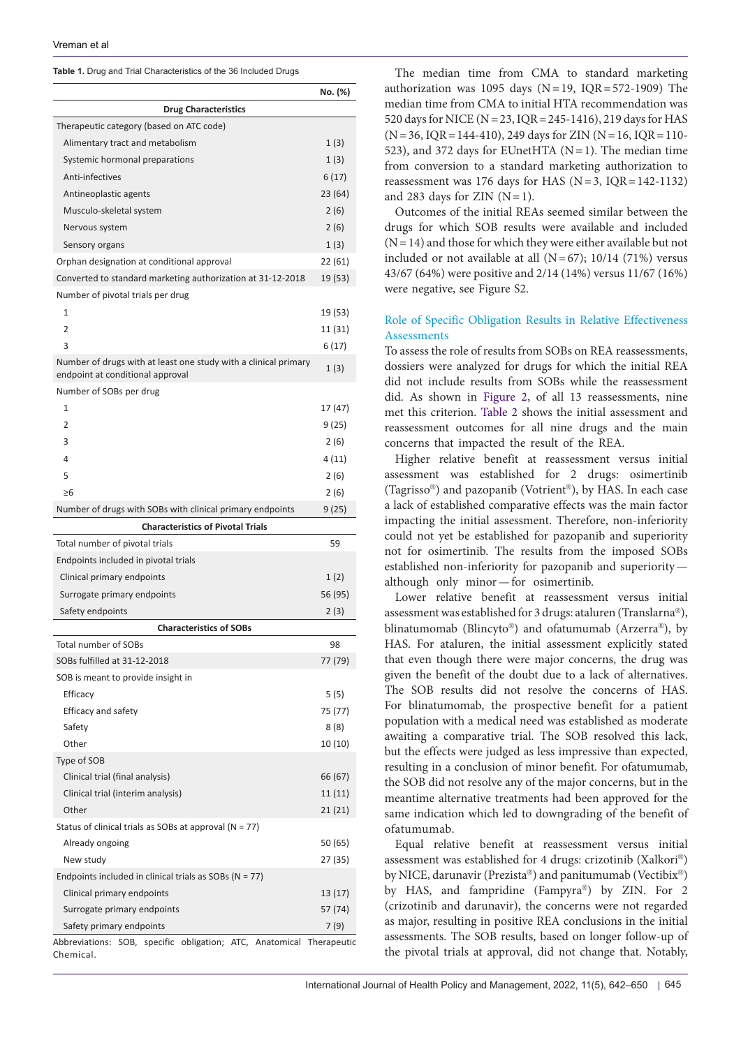Chemical.

<span id="page-3-0"></span>**Table 1.** Drug and Trial Characteristics of the 36 Included Drugs

|                                                                                                     | No. (%) |  |  |  |  |  |  |  |
|-----------------------------------------------------------------------------------------------------|---------|--|--|--|--|--|--|--|
| <b>Drug Characteristics</b>                                                                         |         |  |  |  |  |  |  |  |
| Therapeutic category (based on ATC code)                                                            |         |  |  |  |  |  |  |  |
| Alimentary tract and metabolism                                                                     | 1(3)    |  |  |  |  |  |  |  |
| Systemic hormonal preparations                                                                      | 1(3)    |  |  |  |  |  |  |  |
| Anti-infectives                                                                                     | 6 (17)  |  |  |  |  |  |  |  |
| Antineoplastic agents                                                                               | 23 (64) |  |  |  |  |  |  |  |
| Musculo-skeletal system                                                                             | 2(6)    |  |  |  |  |  |  |  |
| Nervous system                                                                                      | 2(6)    |  |  |  |  |  |  |  |
| Sensory organs                                                                                      | 1(3)    |  |  |  |  |  |  |  |
| Orphan designation at conditional approval                                                          | 22 (61) |  |  |  |  |  |  |  |
| Converted to standard marketing authorization at 31-12-2018                                         | 19 (53) |  |  |  |  |  |  |  |
| Number of pivotal trials per drug                                                                   |         |  |  |  |  |  |  |  |
| $\mathbf{1}$                                                                                        | 19 (53) |  |  |  |  |  |  |  |
| 2                                                                                                   | 11 (31) |  |  |  |  |  |  |  |
| 3                                                                                                   | 6 (17)  |  |  |  |  |  |  |  |
| Number of drugs with at least one study with a clinical primary<br>endpoint at conditional approval | 1(3)    |  |  |  |  |  |  |  |
| Number of SOBs per drug                                                                             |         |  |  |  |  |  |  |  |
| 1                                                                                                   | 17 (47) |  |  |  |  |  |  |  |
| $\overline{2}$                                                                                      | 9 (25)  |  |  |  |  |  |  |  |
| 3                                                                                                   | 2 (6)   |  |  |  |  |  |  |  |
| 4                                                                                                   | 4 (11)  |  |  |  |  |  |  |  |
| 5                                                                                                   | 2(6)    |  |  |  |  |  |  |  |
| ≥6                                                                                                  | 2 (6)   |  |  |  |  |  |  |  |
| Number of drugs with SOBs with clinical primary endpoints                                           | 9 (25)  |  |  |  |  |  |  |  |
| <b>Characteristics of Pivotal Trials</b>                                                            |         |  |  |  |  |  |  |  |
| Total number of pivotal trials                                                                      | 59      |  |  |  |  |  |  |  |
| Endpoints included in pivotal trials                                                                |         |  |  |  |  |  |  |  |
| Clinical primary endpoints                                                                          | 1(2)    |  |  |  |  |  |  |  |
| Surrogate primary endpoints                                                                         | 56 (95) |  |  |  |  |  |  |  |
| Safety endpoints                                                                                    | 2 (3)   |  |  |  |  |  |  |  |
| <b>Characteristics of SOBs</b>                                                                      |         |  |  |  |  |  |  |  |
| <b>Total number of SOBs</b>                                                                         | 98      |  |  |  |  |  |  |  |
| SOBs fulfilled at 31-12-2018                                                                        | 77 (79) |  |  |  |  |  |  |  |
| SOB is meant to provide insight in                                                                  |         |  |  |  |  |  |  |  |
| Efficacy                                                                                            | 5 (5)   |  |  |  |  |  |  |  |
| Efficacy and safety                                                                                 | 75 (77) |  |  |  |  |  |  |  |
| Safety                                                                                              | 8 (8)   |  |  |  |  |  |  |  |
| Other                                                                                               | 10 (10) |  |  |  |  |  |  |  |
| Type of SOB                                                                                         |         |  |  |  |  |  |  |  |
| Clinical trial (final analysis)                                                                     | 66 (67) |  |  |  |  |  |  |  |
| Clinical trial (interim analysis)                                                                   | 11 (11) |  |  |  |  |  |  |  |
| Other                                                                                               | 21 (21) |  |  |  |  |  |  |  |
| Status of clinical trials as SOBs at approval ( $N = 77$ )                                          |         |  |  |  |  |  |  |  |
| Already ongoing                                                                                     | 50 (65) |  |  |  |  |  |  |  |
| New study                                                                                           | 27 (35) |  |  |  |  |  |  |  |
| Endpoints included in clinical trials as SOBs ( $N = 77$ )                                          |         |  |  |  |  |  |  |  |
| Clinical primary endpoints                                                                          | 13 (17) |  |  |  |  |  |  |  |
| Surrogate primary endpoints                                                                         | 57 (74) |  |  |  |  |  |  |  |
| Safety primary endpoints                                                                            | 7 (9)   |  |  |  |  |  |  |  |
| Abbreviations: SOB, specific obligation; ATC, Anatomical Therapeutic                                |         |  |  |  |  |  |  |  |

The median time from CMA to standard marketing authorization was 1095 days ( $N=19$ , IQR=572-1909) The median time from CMA to initial HTA recommendation was 520 days for NICE (N=23, IQR=245-1416), 219 days for HAS  $(N=36, IQR=144-410), 249$  days for ZIN  $(N=16, IQR=110-$ 523), and 372 days for EUnetHTA ( $N=1$ ). The median time from conversion to a standard marketing authorization to reassessment was 176 days for HAS ( $N = 3$ ,  $IQR = 142-1132$ ) and 283 days for ZIN  $(N=1)$ .

Outcomes of the initial REAs seemed similar between the drugs for which SOB results were available and included  $(N=14)$  and those for which they were either available but not included or not available at all  $(N=67)$ ; 10/14 (71%) versus 43/67 (64%) were positive and 2/14 (14%) versus 11/67 (16%) were negative, see Figure S2.

# Role of Specific Obligation Results in Relative Effectiveness **Assessments**

To assess the role of results from SOBs on REA reassessments, dossiers were analyzed for drugs for which the initial REA did not include results from SOBs while the reassessment did. As shown in [Figure 2,](#page-4-1) of all 13 reassessments, nine met this criterion. [Table 2](#page-6-0) shows the initial assessment and reassessment outcomes for all nine drugs and the main concerns that impacted the result of the REA.

Higher relative benefit at reassessment versus initial assessment was established for 2 drugs: osimertinib (Tagrisso®) and pazopanib (Votrient®), by HAS. In each case a lack of established comparative effects was the main factor impacting the initial assessment. Therefore, non-inferiority could not yet be established for pazopanib and superiority not for osimertinib. The results from the imposed SOBs established non-inferiority for pazopanib and superiority although only minor—for osimertinib.

Lower relative benefit at reassessment versus initial assessment was established for 3 drugs: ataluren (Translarna®), blinatumomab (Blincyto®) and ofatumumab (Arzerra®), by HAS. For ataluren, the initial assessment explicitly stated that even though there were major concerns, the drug was given the benefit of the doubt due to a lack of alternatives. The SOB results did not resolve the concerns of HAS. For blinatumomab, the prospective benefit for a patient population with a medical need was established as moderate awaiting a comparative trial. The SOB resolved this lack, but the effects were judged as less impressive than expected, resulting in a conclusion of minor benefit. For ofatumumab, the SOB did not resolve any of the major concerns, but in the meantime alternative treatments had been approved for the same indication which led to downgrading of the benefit of ofatumumab.

Equal relative benefit at reassessment versus initial assessment was established for 4 drugs: crizotinib (Xalkori®) by NICE, darunavir (Prezista®) and panitumumab (Vectibix®) by HAS, and fampridine (Fampyra®) by ZIN. For 2 (crizotinib and darunavir), the concerns were not regarded as major, resulting in positive REA conclusions in the initial assessments. The SOB results, based on longer follow-up of the pivotal trials at approval, did not change that. Notably,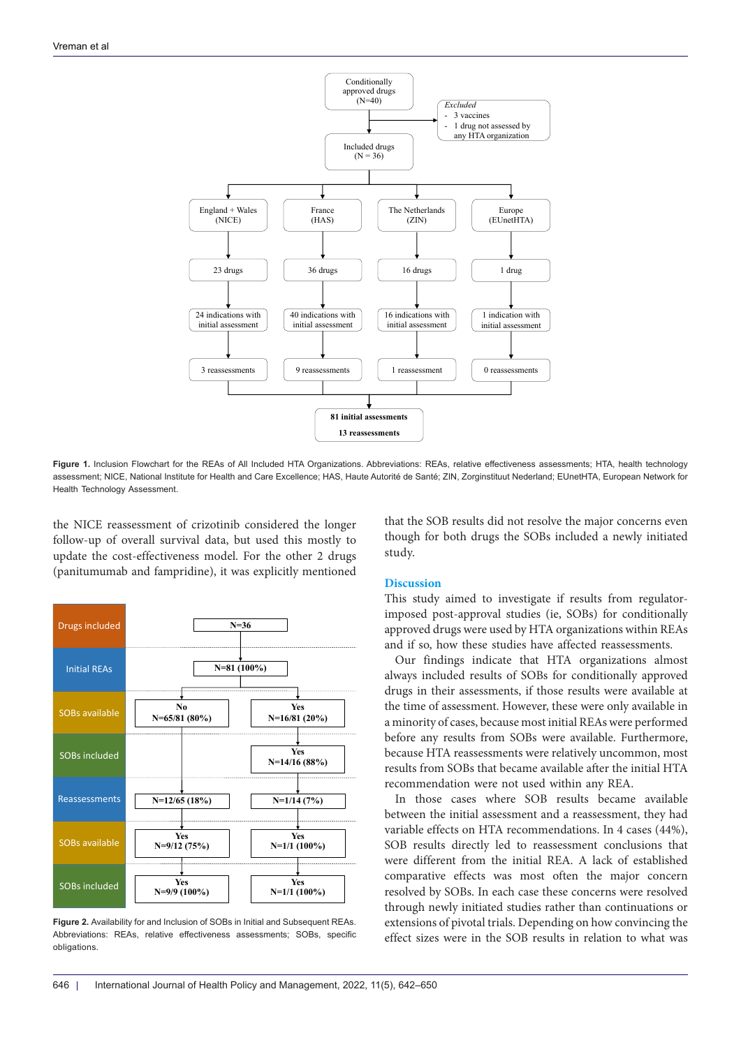<span id="page-4-0"></span>

Figure 1. Inclusion Flowchart for the REAs of All Included HTA Organizations. Abbreviations: REAs, relative effectiveness assessments; HTA, health technology assessment; NICE, National Institute for Health and Care Excellence; HAS, Haute Autorité de Santé; ZIN, Zorginstituut Nederland; EUnetHTA, European Network for Health Technology Assessment.

the NICE reassessment of crizotinib considered the longer follow-up of overall survival data, but used this mostly to update the cost-effectiveness model. For the other 2 drugs (panitumumab and fampridine), it was explicitly mentioned

<span id="page-4-1"></span>

**Figure 2.** Availability for and Inclusion of SOBs in Initial and Subsequent REAs. Abbreviations: REAs, relative effectiveness assessments; SOBs, specific obligations.

that the SOB results did not resolve the major concerns even though for both drugs the SOBs included a newly initiated study.

## **Discussion**

This study aimed to investigate if results from regulatorimposed post-approval studies (ie, SOBs) for conditionally approved drugs were used by HTA organizations within REAs and if so, how these studies have affected reassessments.

Our findings indicate that HTA organizations almost always included results of SOBs for conditionally approved drugs in their assessments, if those results were available at the time of assessment. However, these were only available in a minority of cases, because most initial REAs were performed before any results from SOBs were available. Furthermore, because HTA reassessments were relatively uncommon, most results from SOBs that became available after the initial HTA recommendation were not used within any REA.

In those cases where SOB results became available between the initial assessment and a reassessment, they had variable effects on HTA recommendations. In 4 cases (44%), SOB results directly led to reassessment conclusions that were different from the initial REA. A lack of established comparative effects was most often the major concern resolved by SOBs. In each case these concerns were resolved through newly initiated studies rather than continuations or extensions of pivotal trials. Depending on how convincing the effect sizes were in the SOB results in relation to what was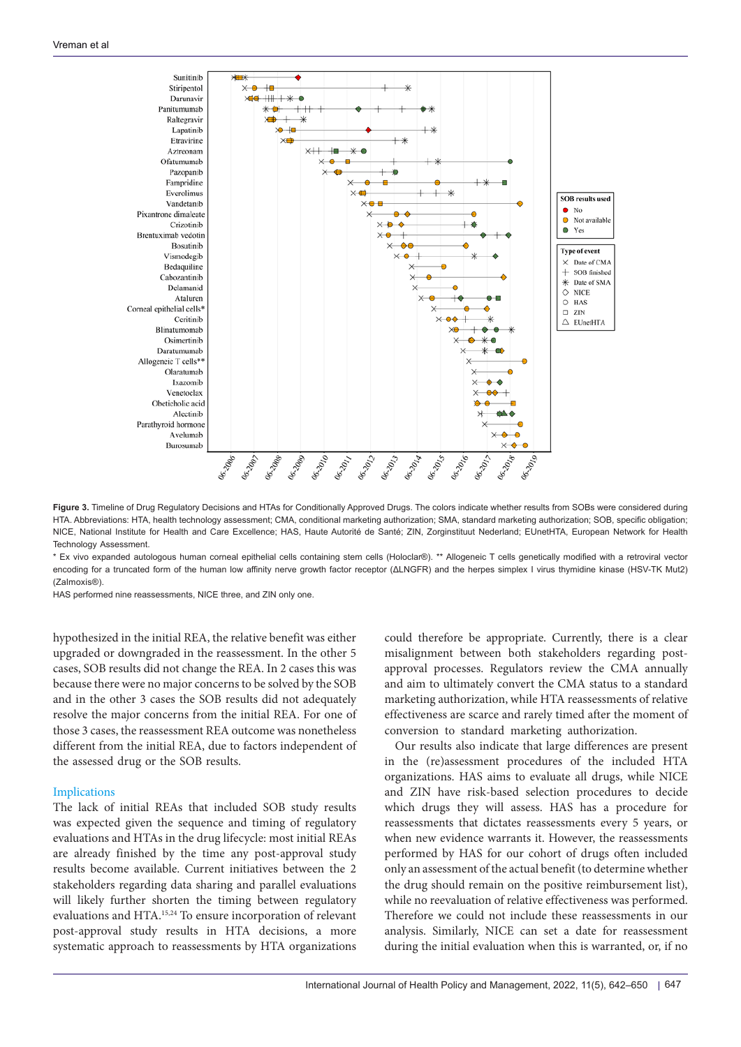<span id="page-5-0"></span>

**Figure 3.** Timeline of Drug Regulatory Decisions and HTAs for Conditionally Approved Drugs. The colors indicate whether results from SOBs were considered during HTA. Abbreviations: HTA, health technology assessment; CMA, conditional marketing authorization; SMA, standard marketing authorization; SOB, specific obligation; NICE, National Institute for Health and Care Excellence; HAS, Haute Autorité de Santé; ZIN, Zorginstituut Nederland; EUnetHTA, European Network for Health Technology Assessment.

\* Ex vivo expanded autologous human corneal epithelial cells containing stem cells (Holoclar®). \*\* Allogeneic T cells genetically modified with a retroviral vector encoding for a truncated form of the human low affinity nerve growth factor receptor (ΔLNGFR) and the herpes simplex I virus thymidine kinase (HSV-TK Mut2) (Zalmoxis®).

HAS performed nine reassessments, NICE three, and ZIN only one.

hypothesized in the initial REA, the relative benefit was either upgraded or downgraded in the reassessment. In the other 5 cases, SOB results did not change the REA. In 2 cases this was because there were no major concerns to be solved by the SOB and in the other 3 cases the SOB results did not adequately resolve the major concerns from the initial REA. For one of those 3 cases, the reassessment REA outcome was nonetheless different from the initial REA, due to factors independent of the assessed drug or the SOB results.

## Implications

The lack of initial REAs that included SOB study results was expected given the sequence and timing of regulatory evaluations and HTAs in the drug lifecycle: most initial REAs are already finished by the time any post-approval study results become available. Current initiatives between the 2 stakeholders regarding data sharing and parallel evaluations will likely further shorten the timing between regulatory evaluations and HTA.15,24 To ensure incorporation of relevant post-approval study results in HTA decisions, a more systematic approach to reassessments by HTA organizations

could therefore be appropriate. Currently, there is a clear misalignment between both stakeholders regarding postapproval processes. Regulators review the CMA annually and aim to ultimately convert the CMA status to a standard marketing authorization, while HTA reassessments of relative effectiveness are scarce and rarely timed after the moment of conversion to standard marketing authorization.

Our results also indicate that large differences are present in the (re)assessment procedures of the included HTA organizations. HAS aims to evaluate all drugs, while NICE and ZIN have risk-based selection procedures to decide which drugs they will assess. HAS has a procedure for reassessments that dictates reassessments every 5 years, or when new evidence warrants it. However, the reassessments performed by HAS for our cohort of drugs often included only an assessment of the actual benefit (to determine whether the drug should remain on the positive reimbursement list), while no reevaluation of relative effectiveness was performed. Therefore we could not include these reassessments in our analysis. Similarly, NICE can set a date for reassessment during the initial evaluation when this is warranted, or, if no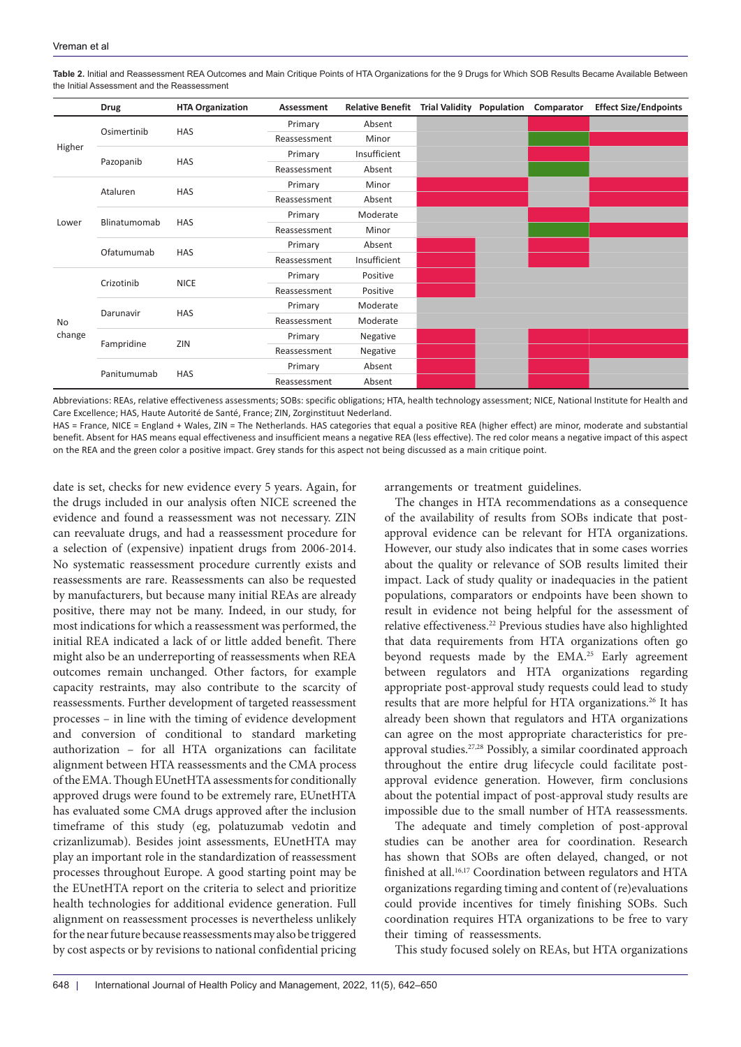|              | <b>Drug</b>  | <b>HTA Organization</b> | Assessment   | Relative Benefit Trial Validity Population |  | Comparator | <b>Effect Size/Endpoints</b> |
|--------------|--------------|-------------------------|--------------|--------------------------------------------|--|------------|------------------------------|
| Higher       | Osimertinib  | <b>HAS</b>              | Primary      | Absent                                     |  |            |                              |
|              |              |                         | Reassessment | Minor                                      |  |            |                              |
|              | Pazopanib    | HAS                     | Primary      | Insufficient                               |  |            |                              |
|              |              |                         | Reassessment | Absent                                     |  |            |                              |
| Lower        | Ataluren     | HAS                     | Primary      | Minor                                      |  |            |                              |
|              |              |                         | Reassessment | Absent                                     |  |            |                              |
|              | Blinatumomab | <b>HAS</b>              | Primary      | Moderate                                   |  |            |                              |
|              |              |                         | Reassessment | Minor                                      |  |            |                              |
|              | Ofatumumab   | HAS                     | Primary      | Absent                                     |  |            |                              |
|              |              |                         | Reassessment | Insufficient                               |  |            |                              |
| No<br>change | Crizotinib   | <b>NICE</b>             | Primary      | Positive                                   |  |            |                              |
|              |              |                         | Reassessment | Positive                                   |  |            |                              |
|              | Darunavir    | HAS                     | Primary      | Moderate                                   |  |            |                              |
|              |              |                         | Reassessment | Moderate                                   |  |            |                              |
|              | Fampridine   | ZIN                     | Primary      | Negative                                   |  |            |                              |
|              |              |                         | Reassessment | Negative                                   |  |            |                              |
|              | Panitumumab  | HAS                     | Primary      | Absent                                     |  |            |                              |
|              |              |                         | Reassessment | Absent                                     |  |            |                              |

<span id="page-6-0"></span>**Table 2.** Initial and Reassessment REA Outcomes and Main Critique Points of HTA Organizations for the 9 Drugs for Which SOB Results Became Available Between the Initial Assessment and the Reassessment

Abbreviations: REAs, relative effectiveness assessments; SOBs: specific obligations; HTA, health technology assessment; NICE, National Institute for Health and Care Excellence; HAS, Haute Autorité de Santé, France; ZIN, Zorginstituut Nederland.

HAS = France, NICE = England + Wales, ZIN = The Netherlands. HAS categories that equal a positive REA (higher effect) are minor, moderate and substantial benefit. Absent for HAS means equal effectiveness and insufficient means a negative REA (less effective). The red color means a negative impact of this aspect on the REA and the green color a positive impact. Grey stands for this aspect not being discussed as a main critique point.

date is set, checks for new evidence every 5 years. Again, for the drugs included in our analysis often NICE screened the evidence and found a reassessment was not necessary. ZIN can reevaluate drugs, and had a reassessment procedure for a selection of (expensive) inpatient drugs from 2006-2014. No systematic reassessment procedure currently exists and reassessments are rare. Reassessments can also be requested by manufacturers, but because many initial REAs are already positive, there may not be many. Indeed, in our study, for most indications for which a reassessment was performed, the initial REA indicated a lack of or little added benefit. There might also be an underreporting of reassessments when REA outcomes remain unchanged. Other factors, for example capacity restraints, may also contribute to the scarcity of reassessments. Further development of targeted reassessment processes – in line with the timing of evidence development and conversion of conditional to standard marketing authorization – for all HTA organizations can facilitate alignment between HTA reassessments and the CMA process of the EMA. Though EUnetHTA assessments for conditionally approved drugs were found to be extremely rare, EUnetHTA has evaluated some CMA drugs approved after the inclusion timeframe of this study (eg, polatuzumab vedotin and crizanlizumab). Besides joint assessments, EUnetHTA may play an important role in the standardization of reassessment processes throughout Europe. A good starting point may be the EUnetHTA report on the criteria to select and prioritize health technologies for additional evidence generation. Full alignment on reassessment processes is nevertheless unlikely for the near future because reassessments may also be triggered by cost aspects or by revisions to national confidential pricing arrangements or treatment guidelines.

The changes in HTA recommendations as a consequence of the availability of results from SOBs indicate that postapproval evidence can be relevant for HTA organizations. However, our study also indicates that in some cases worries about the quality or relevance of SOB results limited their impact. Lack of study quality or inadequacies in the patient populations, comparators or endpoints have been shown to result in evidence not being helpful for the assessment of relative effectiveness.<sup>22</sup> Previous studies have also highlighted that data requirements from HTA organizations often go beyond requests made by the EMA.<sup>25</sup> Early agreement between regulators and HTA organizations regarding appropriate post-approval study requests could lead to study results that are more helpful for HTA organizations.<sup>26</sup> It has already been shown that regulators and HTA organizations can agree on the most appropriate characteristics for preapproval studies.<sup>27,28</sup> Possibly, a similar coordinated approach throughout the entire drug lifecycle could facilitate postapproval evidence generation. However, firm conclusions about the potential impact of post-approval study results are impossible due to the small number of HTA reassessments.

The adequate and timely completion of post-approval studies can be another area for coordination. Research has shown that SOBs are often delayed, changed, or not finished at all.<sup>16,17</sup> Coordination between regulators and HTA organizations regarding timing and content of (re)evaluations could provide incentives for timely finishing SOBs. Such coordination requires HTA organizations to be free to vary their timing of reassessments.

This study focused solely on REAs, but HTA organizations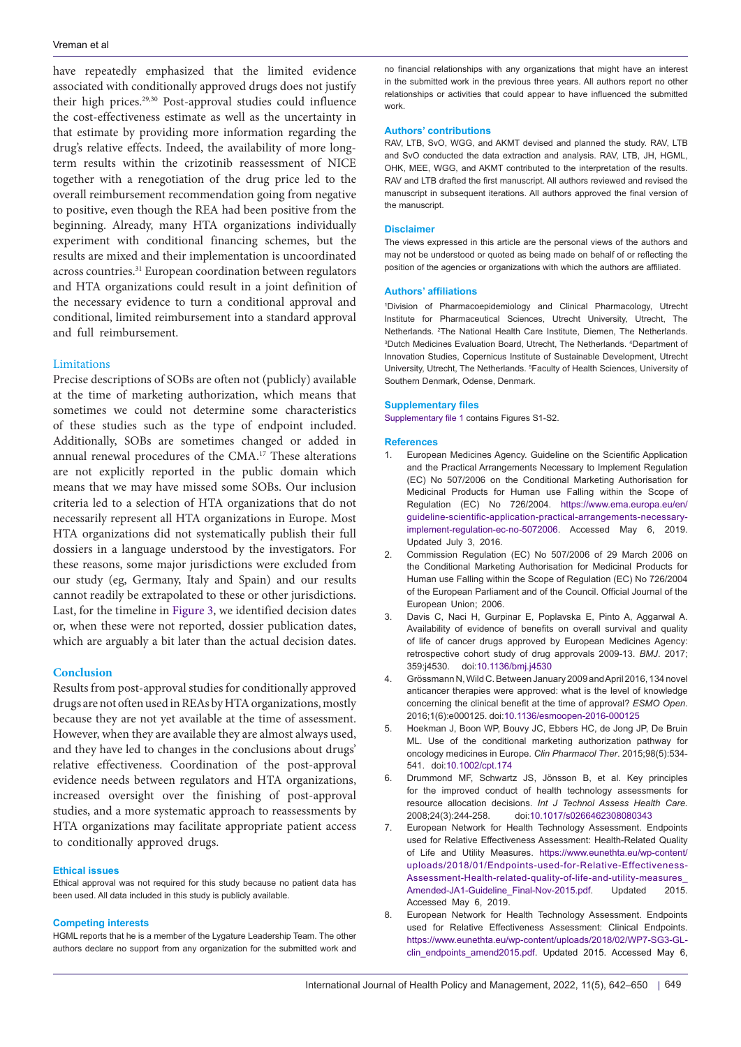have repeatedly emphasized that the limited evidence associated with conditionally approved drugs does not justify their high prices.29,30 Post-approval studies could influence the cost-effectiveness estimate as well as the uncertainty in that estimate by providing more information regarding the drug's relative effects. Indeed, the availability of more longterm results within the crizotinib reassessment of NICE together with a renegotiation of the drug price led to the overall reimbursement recommendation going from negative to positive, even though the REA had been positive from the beginning. Already, many HTA organizations individually experiment with conditional financing schemes, but the results are mixed and their implementation is uncoordinated across countries.31 European coordination between regulators and HTA organizations could result in a joint definition of the necessary evidence to turn a conditional approval and conditional, limited reimbursement into a standard approval and full reimbursement.

## Limitations

Precise descriptions of SOBs are often not (publicly) available at the time of marketing authorization, which means that sometimes we could not determine some characteristics of these studies such as the type of endpoint included. Additionally, SOBs are sometimes changed or added in annual renewal procedures of the CMA.17 These alterations are not explicitly reported in the public domain which means that we may have missed some SOBs. Our inclusion criteria led to a selection of HTA organizations that do not necessarily represent all HTA organizations in Europe. Most HTA organizations did not systematically publish their full dossiers in a language understood by the investigators. For these reasons, some major jurisdictions were excluded from our study (eg, Germany, Italy and Spain) and our results cannot readily be extrapolated to these or other jurisdictions. Last, for the timeline in [Figure 3](#page-5-0), we identified decision dates or, when these were not reported, dossier publication dates, which are arguably a bit later than the actual decision dates.

## **Conclusion**

Results from post-approval studies for conditionally approved drugs are not often used in REAs by HTA organizations, mostly because they are not yet available at the time of assessment. However, when they are available they are almost always used, and they have led to changes in the conclusions about drugs' relative effectiveness. Coordination of the post-approval evidence needs between regulators and HTA organizations, increased oversight over the finishing of post-approval studies, and a more systematic approach to reassessments by HTA organizations may facilitate appropriate patient access to conditionally approved drugs.

## **Ethical issues**

Ethical approval was not required for this study because no patient data has been used. All data included in this study is publicly available.

#### **Competing interests**

HGML reports that he is a member of the Lygature Leadership Team. The other authors declare no support from any organization for the submitted work and no financial relationships with any organizations that might have an interest in the submitted work in the previous three years. All authors report no other relationships or activities that could appear to have influenced the submitted work.

### **Authors' contributions**

RAV, LTB, SvO, WGG, and AKMT devised and planned the study. RAV, LTB and SvO conducted the data extraction and analysis. RAV, LTB, JH, HGML, OHK, MEE, WGG, and AKMT contributed to the interpretation of the results. RAV and LTB drafted the first manuscript. All authors reviewed and revised the manuscript in subsequent iterations. All authors approved the final version of the manuscript.

#### **Disclaimer**

The views expressed in this article are the personal views of the authors and may not be understood or quoted as being made on behalf of or reflecting the position of the agencies or organizations with which the authors are affiliated.

## **Authors' affiliations**

1 Division of Pharmacoepidemiology and Clinical Pharmacology, Utrecht Institute for Pharmaceutical Sciences, Utrecht University, Utrecht, The Netherlands. <sup>2</sup>The National Health Care Institute, Diemen, The Netherlands. <sup>3</sup>Dutch Medicines Evaluation Board, Utrecht, The Netherlands. <sup>4</sup>Department of Innovation Studies, Copernicus Institute of Sustainable Development, Utrecht University, Utrecht, The Netherlands. <sup>5</sup> Faculty of Health Sciences, University of Southern Denmark, Odense, Denmark.

#### **Supplementary files**

<span id="page-7-0"></span>[Supplementary file 1](https://www.ijhpm.com/jufile?ar_sfile=45063) contains Figures S1-S2.

#### **References**

- 1. European Medicines Agency. Guideline on the Scientific Application and the Practical Arrangements Necessary to Implement Regulation (EC) No 507/2006 on the Conditional Marketing Authorisation for Medicinal Products for Human use Falling within the Scope of Regulation (EC) No 726/2004. [https://www.ema.europa.eu/en/](https://www.ema.europa.eu/en/guideline-scientific-application-practical-arrangements-necessary-implement-regulation-ec-no-5072006) [guideline-scientific-application-practical-arrangements-necessary](https://www.ema.europa.eu/en/guideline-scientific-application-practical-arrangements-necessary-implement-regulation-ec-no-5072006)[implement-regulation-ec-no-5072006](https://www.ema.europa.eu/en/guideline-scientific-application-practical-arrangements-necessary-implement-regulation-ec-no-5072006). Accessed May 6, 2019. Updated July 3, 2016.
- 2. Commission Regulation (EC) No 507/2006 of 29 March 2006 on the Conditional Marketing Authorisation for Medicinal Products for Human use Falling within the Scope of Regulation (EC) No 726/2004 of the European Parliament and of the Council. Official Journal of the European Union; 2006.
- 3. Davis C, Naci H, Gurpinar E, Poplavska E, Pinto A, Aggarwal A. Availability of evidence of benefits on overall survival and quality of life of cancer drugs approved by European Medicines Agency: retrospective cohort study of drug approvals 2009-13. *BMJ*. 2017; 359:j4530. doi[:10.1136/bmj.j4530](https://doi.org/10.1136/bmj.j4530)
- 4. Grössmann N, Wild C. Between January 2009 and April 2016, 134 novel anticancer therapies were approved: what is the level of knowledge concerning the clinical benefit at the time of approval? *ESMO Open*. 2016;1(6):e000125. doi:[10.1136/esmoopen-2016-000125](https://doi.org/10.1136/esmoopen-2016-000125)
- 5. Hoekman J, Boon WP, Bouvy JC, Ebbers HC, de Jong JP, De Bruin ML. Use of the conditional marketing authorization pathway for oncology medicines in Europe. *Clin Pharmacol Ther*. 2015;98(5):534- 541. doi:[10.1002/cpt.174](https://doi.org/10.1002/cpt.174)
- 6. Drummond MF, Schwartz JS, Jönsson B, et al. Key principles for the improved conduct of health technology assessments for resource allocation decisions. *Int J Technol Assess Health Care.* 2008;24(3):244-258. doi:[10.1017/s0266462308080343](https://doi.org/10.1017/s0266462308080343)
- 7. European Network for Health Technology Assessment. Endpoints used for Relative Effectiveness Assessment: Health-Related Quality of Life and Utility Measures. https[://www.eunethta.eu/wp-content/](https://www.eunethta.eu/wp-content/uploads/2018/01/Endpoints-used-for-Relative-Effectiveness-Assessment-Health-related-quality-of-life-and-utility-measures_Amended-JA1-Guideline_Final-Nov-2015.pdf) [uploads/2018/01/Endpoints-used-for-Relative-Effectiveness-](https://www.eunethta.eu/wp-content/uploads/2018/01/Endpoints-used-for-Relative-Effectiveness-Assessment-Health-related-quality-of-life-and-utility-measures_Amended-JA1-Guideline_Final-Nov-2015.pdf)[Assessment-Health-related-quality-of-life-and-utility-measures\\_](https://www.eunethta.eu/wp-content/uploads/2018/01/Endpoints-used-for-Relative-Effectiveness-Assessment-Health-related-quality-of-life-and-utility-measures_Amended-JA1-Guideline_Final-Nov-2015.pdf) Amended-JA1-Guideline Final-Nov-2015.pdf. Updated 2015. Accessed May 6, 2019.
- 8. European Network for Health Technology Assessment. Endpoints used for Relative Effectiveness Assessment: Clinical Endpoints. https://www[.eunethta.eu/wp-content/uploads/2018/02/WP7-SG3-GL](https://www.eunethta.eu/wp-content/uploads/2018/02/WP7-SG3-GL-clin_endpoints_amend2015.pdf)clin[\\_endpoints\\_amend2015.pdf](https://www.eunethta.eu/wp-content/uploads/2018/02/WP7-SG3-GL-clin_endpoints_amend2015.pdf). Updated 2015. Accessed May 6,